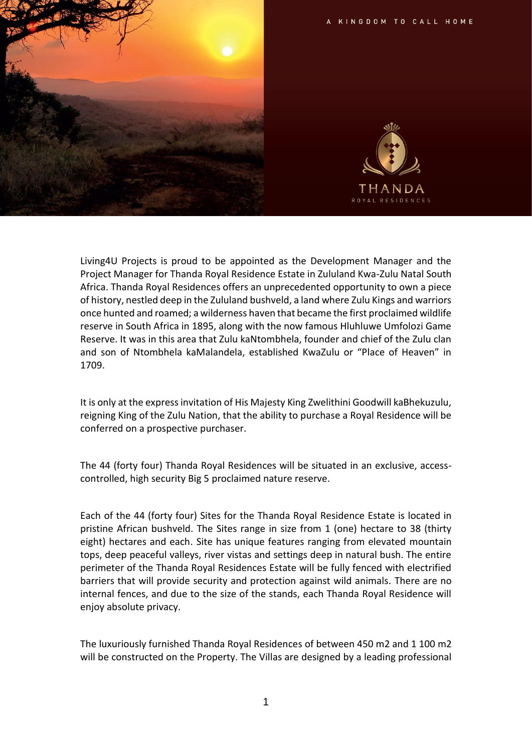



Living4U Projects is proud to be appointed as the Development Manager and the Project Manager for Thanda Royal Residence Estate in Zululand Kwa-Zulu Natal South Africa. Thanda Royal Residences offers an unprecedented opportunity to own a piece of history, nestled deep in the Zululand bushveld, a land where Zulu Kings and warriors once hunted and roamed; a wilderness haven that became the first proclaimed wildlife reserve in South Africa in 1895, along with the now famous Hluhluwe Umfolozi Game Reserve. It was in this area that Zulu kaNtombhela, founder and chief of the Zulu clan and son of Ntombhela kaMalandela, established KwaZulu or "Place of Heaven" in 1709.

It is only at the express invitation of His Majesty King Zwelithini Goodwill kaBhekuzulu, reigning King of the Zulu Nation, that the ability to purchase a Royal Residence will be conferred on a prospective purchaser.

The 44 (forty four) Thanda Royal Residences will be situated in an exclusive, accesscontrolled, high security Big 5 proclaimed nature reserve.

Each of the 44 (forty four) Sites for the Thanda Royal Residence Estate is located in pristine African bushveld. The Sites range in size from 1 (one) hectare to 38 (thirty eight) hectares and each. Site has unique features ranging from elevated mountain tops, deep peaceful valleys, river vistas and settings deep in natural bush. The entire perimeter of the Thanda Royal Residences Estate will be fully fenced with electrified barriers that will provide security and protection against wild animals. There are no internal fences, and due to the size of the stands, each Thanda Royal Residence will enjoy absolute privacy.

The luxuriously furnished Thanda Royal Residences of between 450 m2 and 1 100 m2 will be constructed on the Property. The Villas are designed by a leading professional